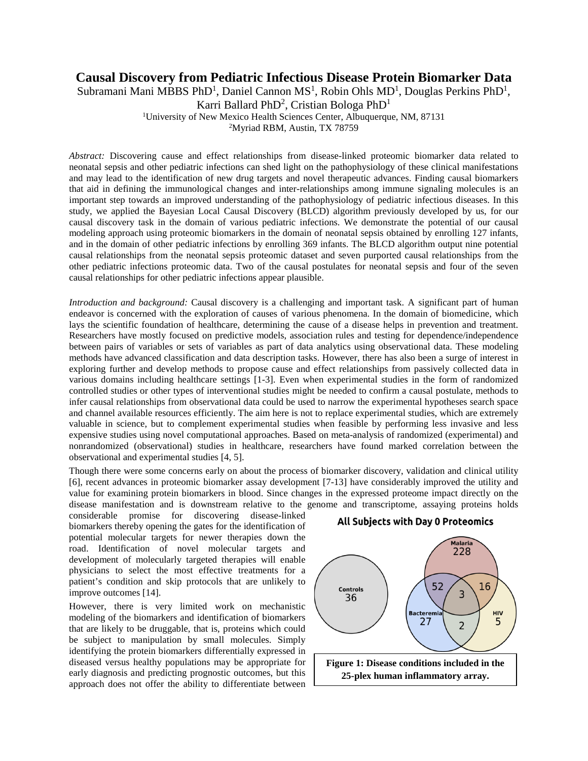## **Causal Discovery from Pediatric Infectious Disease Protein Biomarker Data**

Subramani Mani MBBS PhD<sup>1</sup>, Daniel Cannon MS<sup>1</sup>, Robin Ohls MD<sup>1</sup>, Douglas Perkins PhD<sup>1</sup>,

<sup>1</sup>University of New Mexico Health Sciences Center, Albuquerque, NM, 87131

<sup>2</sup>Myriad RBM, Austin, TX 78759

*Abstract:* Discovering cause and effect relationships from disease-linked proteomic biomarker data related to neonatal sepsis and other pediatric infections can shed light on the pathophysiology of these clinical manifestations and may lead to the identification of new drug targets and novel therapeutic advances. Finding causal biomarkers that aid in defining the immunological changes and inter-relationships among immune signaling molecules is an important step towards an improved understanding of the pathophysiology of pediatric infectious diseases. In this study, we applied the Bayesian Local Causal Discovery (BLCD) algorithm previously developed by us, for our causal discovery task in the domain of various pediatric infections. We demonstrate the potential of our causal modeling approach using proteomic biomarkers in the domain of neonatal sepsis obtained by enrolling 127 infants, and in the domain of other pediatric infections by enrolling 369 infants. The BLCD algorithm output nine potential causal relationships from the neonatal sepsis proteomic dataset and seven purported causal relationships from the other pediatric infections proteomic data. Two of the causal postulates for neonatal sepsis and four of the seven causal relationships for other pediatric infections appear plausible.

*Introduction and background:* Causal discovery is a challenging and important task. A significant part of human endeavor is concerned with the exploration of causes of various phenomena. In the domain of biomedicine, which lays the scientific foundation of healthcare, determining the cause of a disease helps in prevention and treatment. Researchers have mostly focused on predictive models, association rules and testing for dependence/independence between pairs of variables or sets of variables as part of data analytics using observational data. These modeling methods have advanced classification and data description tasks. However, there has also been a surge of interest in exploring further and develop methods to propose cause and effect relationships from passively collected data in various domains including healthcare settings [\[1-3\]](#page-4-0). Even when experimental studies in the form of randomized controlled studies or other types of interventional studies might be needed to confirm a causal postulate, methods to infer causal relationships from observational data could be used to narrow the experimental hypotheses search space and channel available resources efficiently. The aim here is not to replace experimental studies, which are extremely valuable in science, but to complement experimental studies when feasible by performing less invasive and less expensive studies using novel computational approaches. Based on meta-analysis of randomized (experimental) and nonrandomized (observational) studies in healthcare, researchers have found marked correlation between the observational and experimental studies [\[4,](#page-4-1) [5\]](#page-4-2).

Though there were some concerns early on about the process of biomarker discovery, validation and clinical utility [\[6\]](#page-4-3), recent advances in proteomic biomarker assay development [\[7-13\]](#page-4-4) have considerably improved the utility and value for examining protein biomarkers in blood. Since changes in the expressed proteome impact directly on the disease manifestation and is downstream relative to the genome and transcriptome, assaying proteins holds

considerable promise for discovering disease-linked biomarkers thereby opening the gates for the identification of potential molecular targets for newer therapies down the road. Identification of novel molecular targets and development of molecularly targeted therapies will enable physicians to select the most effective treatments for a patient's condition and skip protocols that are unlikely to improve outcomes [\[14\]](#page-5-0).

However, there is very limited work on mechanistic modeling of the biomarkers and identification of biomarkers that are likely to be druggable, that is, proteins which could be subject to manipulation by small molecules. Simply identifying the protein biomarkers differentially expressed in diseased versus healthy populations may be appropriate for early diagnosis and predicting prognostic outcomes, but this approach does not offer the ability to differentiate between





Karri Ballard PhD<sup>2</sup>, Cristian Bologa PhD<sup>1</sup>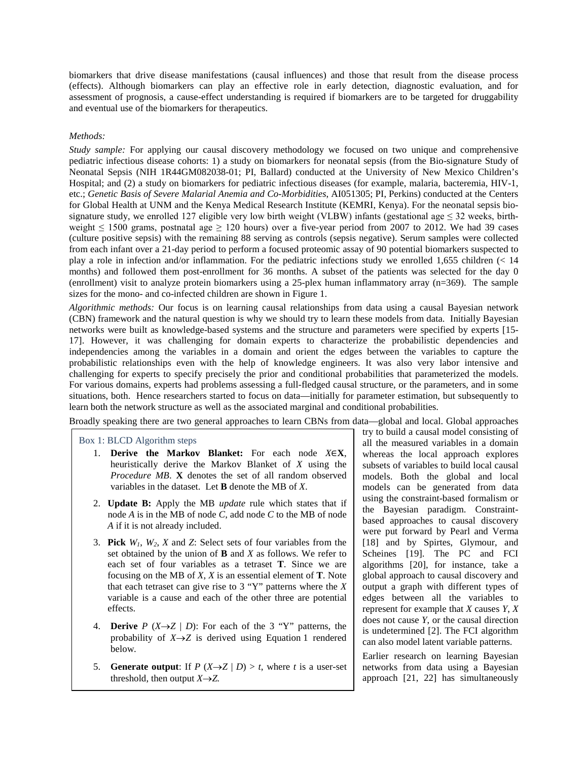biomarkers that drive disease manifestations (causal influences) and those that result from the disease process (effects). Although biomarkers can play an effective role in early detection, diagnostic evaluation, and for assessment of prognosis, a cause-effect understanding is required if biomarkers are to be targeted for druggability and eventual use of the biomarkers for therapeutics.

## *Methods:*

*Study sample:* For applying our causal discovery methodology we focused on two unique and comprehensive pediatric infectious disease cohorts: 1) a study on biomarkers for neonatal sepsis (from the Bio-signature Study of Neonatal Sepsis (NIH 1R44GM082038-01; PI, Ballard) conducted at the University of New Mexico Children's Hospital; and (2) a study on biomarkers for pediatric infectious diseases (for example, malaria, bacteremia, HIV-1, etc.; *Genetic Basis of Severe Malarial Anemia and Co-Morbidities*, AI051305; PI, Perkins) conducted at the Centers for Global Health at UNM and the Kenya Medical Research Institute (KEMRI, Kenya). For the neonatal sepsis biosignature study, we enrolled 127 eligible very low birth weight (VLBW) infants (gestational age  $\leq$  32 weeks, birthweight  $\leq 1500$  grams, postnatal age  $\geq 120$  hours) over a five-year period from 2007 to 2012. We had 39 cases (culture positive sepsis) with the remaining 88 serving as controls (sepsis negative). Serum samples were collected from each infant over a 21-day period to perform a focused proteomic assay of 90 potential biomarkers suspected to play a role in infection and/or inflammation. For the pediatric infections study we enrolled 1,655 children (< 14 months) and followed them post-enrollment for 36 months. A subset of the patients was selected for the day 0 (enrollment) visit to analyze protein biomarkers using a 25-plex human inflammatory array (n=369). The sample sizes for the mono- and co-infected children are shown in Figure 1.

*Algorithmic methods:* Our focus is on learning causal relationships from data using a causal Bayesian network (CBN) framework and the natural question is why we should try to learn these models from data. Initially Bayesian networks were built as knowledge-based systems and the structure and parameters were specified by experts [\[15-](#page-5-1) [17\]](#page-5-1). However, it was challenging for domain experts to characterize the probabilistic dependencies and independencies among the variables in a domain and orient the edges between the variables to capture the probabilistic relationships even with the help of knowledge engineers. It was also very labor intensive and challenging for experts to specify precisely the prior and conditional probabilities that parameterized the models. For various domains, experts had problems assessing a full-fledged causal structure, or the parameters, and in some situations, both. Hence researchers started to focus on data—initially for parameter estimation, but subsequently to learn both the network structure as well as the associated marginal and conditional probabilities.

Broadly speaking there are two general approaches to learn CBNs from data—global and local. Global approaches

## Box 1: BLCD Algorithm steps

- 1. **Derive the Markov Blanket:** For each node *X*∈**X**, heuristically derive the Markov Blanket of *X* using the *Procedure MB*. **X** denotes the set of all random observed variables in the dataset. Let **B** denote the MB of *X*.
- 2. **Update B:** Apply the MB *update* rule which states that if node *A* is in the MB of node *C*, add node *C* to the MB of node *A* if it is not already included.
- 3. **Pick** *W1*, *W2*, *X* and *Z*: Select sets of four variables from the set obtained by the union of **B** and *X* as follows. We refer to each set of four variables as a tetraset **T**. Since we are focusing on the MB of *X*, *X* is an essential element of **T**. Note that each tetraset can give rise to 3 "Y" patterns where the *X* variable is a cause and each of the other three are potential effects.
- 4. **Derive**  $P(X \rightarrow Z | D)$ : For each of the 3 "Y" patterns, the probability of  $X \rightarrow Z$  is derived using Equation 1 rendered below.
- 5. **Generate output**: If  $P(X \rightarrow Z | D) > t$ , where *t* is a user-set threshold, then output  $X \rightarrow Z$ .

try to build a causal model consisting of all the measured variables in a domain whereas the local approach explores subsets of variables to build local causal models. Both the global and local models can be generated from data using the constraint-based formalism or the Bayesian paradigm. Constraintbased approaches to causal discovery were put forward by Pearl and Verma [\[18\]](#page-5-2) and by Spirtes, Glymour, and Scheines [\[19\]](#page-5-3). The PC and FCI algorithms [\[20\]](#page-5-4), for instance, take a global approach to causal discovery and output a graph with different types of edges between all the variables to represent for example that *X* causes *Y*, *X* does not cause *Y*, or the causal direction is undetermined [\[2\]](#page-4-5). The FCI algorithm can also model latent variable patterns.

Earlier research on learning Bayesian networks from data using a Bayesian approach [\[21,](#page-5-5) [22\]](#page-5-6) has simultaneously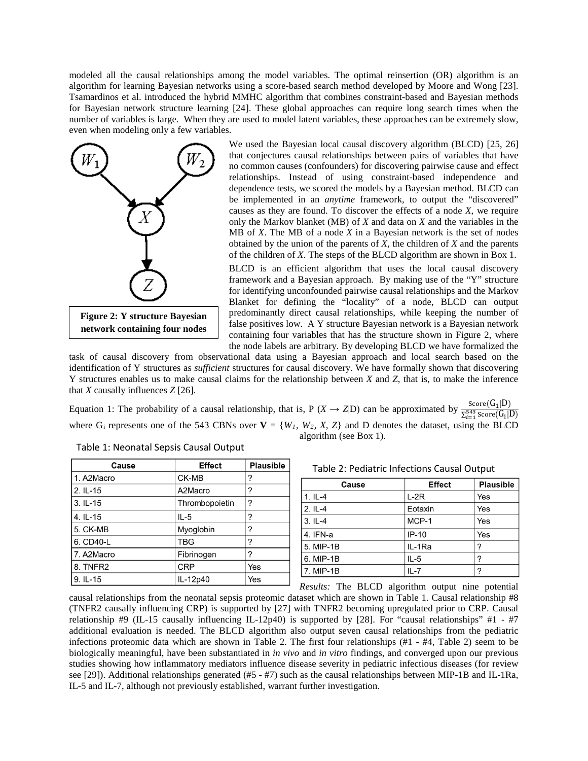modeled all the causal relationships among the model variables. The optimal reinsertion (OR) algorithm is an algorithm for learning Bayesian networks using a score-based search method developed by Moore and Wong [\[23\]](#page-5-7). Tsamardinos et al. introduced the hybrid MMHC algorithm that combines constraint-based and Bayesian methods for Bayesian network structure learning [\[24\]](#page-5-8). These global approaches can require long search times when the number of variables is large. When they are used to model latent variables, these approaches can be extremely slow, even when modeling only a few variables.



We used the Bayesian local causal discovery algorithm (BLCD) [\[25,](#page-5-9) [26\]](#page-5-10) that conjectures causal relationships between pairs of variables that have no common causes (confounders) for discovering pairwise cause and effect relationships. Instead of using constraint-based independence and dependence tests, we scored the models by a Bayesian method. BLCD can be implemented in an *anytime* framework, to output the "discovered" causes as they are found. To discover the effects of a node *X*, we require only the Markov blanket (MB) of *X* and data on *X* and the variables in the MB of *X*. The MB of a node *X* in a Bayesian network is the set of nodes obtained by the union of the parents of *X*, the children of *X* and the parents of the children of *X*. The steps of the BLCD algorithm are shown in Box 1.

BLCD is an efficient algorithm that uses the local causal discovery framework and a Bayesian approach. By making use of the "Y" structure for identifying unconfounded pairwise causal relationships and the Markov Blanket for defining the "locality" of a node, BLCD can output predominantly direct causal relationships, while keeping the number of false positives low. A Y structure Bayesian network is a Bayesian network containing four variables that has the structure shown in Figure 2, where the node labels are arbitrary. By developing BLCD we have formalized the

task of causal discovery from observational data using a Bayesian approach and local search based on the identification of Y structures as *sufficient* structures for causal discovery. We have formally shown that discovering Y structures enables us to make causal claims for the relationship between *X* and *Z*, that is, to make the inference that *X* causally influences *Z* [\[26\]](#page-5-10).

Equation 1: The probability of a causal relationship, that is, P (*X*  $\rightarrow$  *Z*|D) can be approximated by  $\frac{\text{Score}(G_1|D)}{\sum_{i=1}^{543} \text{Score}(G_i|D)}$ where G<sub>i</sub> represents one of the 543 CBNs over  $V = \{W_1, W_2, X, Z\}$  and D denotes the dataset, using the BLCD algorithm (see Box 1).

| Cause       | <b>Effect</b>  | <b>Plausible</b> |
|-------------|----------------|------------------|
| 1. A2Macro  | CK-MB          | ?                |
| $2.1L-15$   | A2Macro        | ?                |
| $3.1L-15$   | Thrombopoietin | ?                |
| $4.1L - 15$ | $IL-5$         | 7                |
| 5. CK-MB    | Myoglobin      | ?                |
| 6. CD40-L   | <b>TBG</b>     | 7                |
| 7. A2Macro  | Fibrinogen     | 7                |
| 8. TNFR2    | <b>CRP</b>     | Yes              |
| 9. IL-15    | IL-12p40       | Yes              |

Table 1: Neonatal Sepsis Causal Output

Table 2: Pediatric Infections Causal Output

| Cause     | <b>Effect</b> | <b>Plausible</b> |
|-----------|---------------|------------------|
| $1.1L-4$  | $L-2R$        | Yes              |
| $2.IL-4$  | Eotaxin       | Yes              |
| $3.1L-4$  | MCP-1         | Yes              |
| 4. IFN-a  | $IP-10$       | Yes              |
| 5. MIP-1B | IL-1Ra        | 2                |
| 6. MIP-1B | $IL-5$        | っ                |
| 7. MIP-1B | $IL - 7$      | ?                |

*Results:* The BLCD algorithm output nine potential causal relationships from the neonatal sepsis proteomic dataset which are shown in Table 1. Causal relationship #8 (TNFR2 causally influencing CRP) is supported by [\[27\]](#page-5-11) with TNFR2 becoming upregulated prior to CRP. Causal relationship #9 (IL-15 causally influencing IL-12p40) is supported by [\[28\]](#page-5-12). For "causal relationships"  $#1 - #7$ additional evaluation is needed. The BLCD algorithm also output seven causal relationships from the pediatric infections proteomic data which are shown in Table 2. The first four relationships (#1 - #4, Table 2) seem to be biologically meaningful, have been substantiated in *in vivo* and *in vitro* findings, and converged upon our previous studies showing how inflammatory mediators influence disease severity in pediatric infectious diseases (for review see [\[29\]](#page-5-13)). Additional relationships generated (#5 - #7) such as the causal relationships between MIP-1B and IL-1Ra, IL-5 and IL-7, although not previously established, warrant further investigation.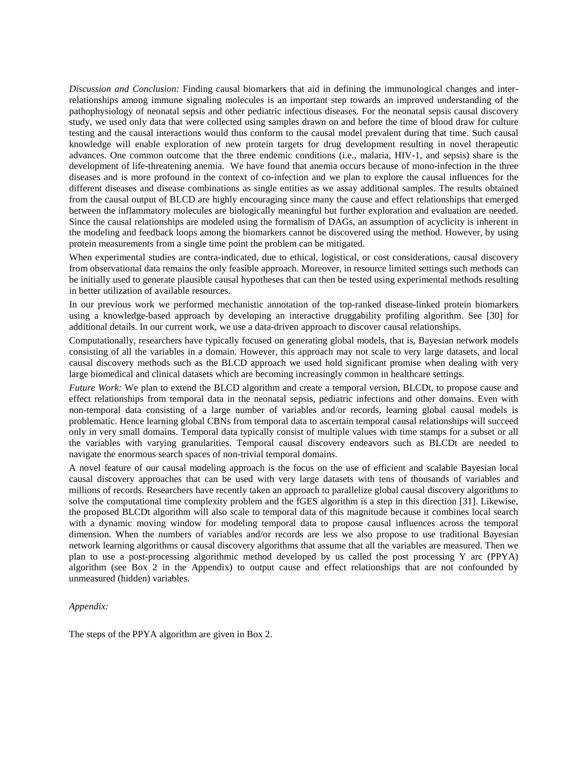*Discussion and Conclusion:* Finding causal biomarkers that aid in defining the immunological changes and interrelationships among immune signaling molecules is an important step towards an improved understanding of the pathophysiology of neonatal sepsis and other pediatric infectious diseases. For the neonatal sepsis causal discovery study, we used only data that were collected using samples drawn on and before the time of blood draw for culture testing and the causal interactions would thus conform to the causal model prevalent during that time. Such causal knowledge will enable exploration of new protein targets for drug development resulting in novel therapeutic advances. One common outcome that the three endemic conditions (i.e., malaria, HIV-1, and sepsis) share is the development of life-threatening anemia. We have found that anemia occurs because of mono-infection in the three diseases and is more profound in the context of co-infection and we plan to explore the causal influences for the different diseases and disease combinations as single entities as we assay additional samples. The results obtained from the causal output of BLCD are highly encouraging since many the cause and effect relationships that emerged between the inflammatory molecules are biologically meaningful but further exploration and evaluation are needed. Since the causal relationships are modeled using the formalism of DAGs, an assumption of acyclicity is inherent in the modeling and feedback loops among the biomarkers cannot be discovered using the method. However, by using protein measurements from a single time point the problem can be mitigated.

When experimental studies are contra-indicated, due to ethical, logistical, or cost considerations, causal discovery from observational data remains the only feasible approach. Moreover, in resource limited settings such methods can be initially used to generate plausible causal hypotheses that can then be tested using experimental methods resulting in better utilization of available resources.

In our previous work we performed mechanistic annotation of the top-ranked disease-linked protein biomarkers using a knowledge-based approach by developing an interactive druggability profiling algorithm. See [\[30\]](#page-5-14) for additional details. In our current work, we use a data-driven approach to discover causal relationships.

Computationally, researchers have typically focused on generating global models, that is, Bayesian network models consisting of all the variables in a domain. However, this approach may not scale to very large datasets, and local causal discovery methods such as the BLCD approach we used hold significant promise when dealing with very large biomedical and clinical datasets which are becoming increasingly common in healthcare settings.

*Future Work:* We plan to extend the BLCD algorithm and create a temporal version, BLCDt, to propose cause and effect relationships from temporal data in the neonatal sepsis, pediatric infections and other domains. Even with non-temporal data consisting of a large number of variables and/or records, learning global causal models is problematic. Hence learning global CBNs from temporal data to ascertain temporal causal relationships will succeed only in very small domains. Temporal data typically consist of multiple values with time stamps for a subset or all the variables with varying granularities. Temporal causal discovery endeavors such as BLCDt are needed to navigate the enormous search spaces of non-trivial temporal domains.

A novel feature of our causal modeling approach is the focus on the use of efficient and scalable Bayesian local causal discovery approaches that can be used with very large datasets with tens of thousands of variables and millions of records. Researchers have recently taken an approach to parallelize global causal discovery algorithms to solve the computational time complexity problem and the fGES algorithm is a step in this direction [\[31\]](#page-5-15). Likewise, the proposed BLCDt algorithm will also scale to temporal data of this magnitude because it combines local search with a dynamic moving window for modeling temporal data to propose causal influences across the temporal dimension. When the numbers of variables and/or records are less we also propose to use traditional Bayesian network learning algorithms or causal discovery algorithms that assume that all the variables are measured. Then we plan to use a post-processing algorithmic method developed by us called the post processing Y arc (PPYA) algorithm (see Box 2 in the Appendix) to output cause and effect relationships that are not confounded by unmeasured (hidden) variables.

## *Appendix:*

The steps of the PPYA algorithm are given in Box 2.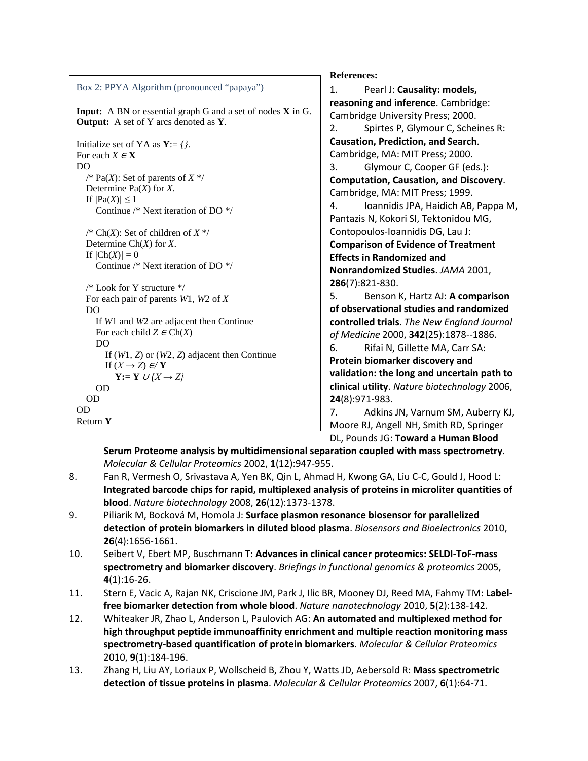| Box 2: PPYA Algorithm (pronounced "papaya")                                                                               |
|---------------------------------------------------------------------------------------------------------------------------|
| <b>Input:</b> A BN or essential graph G and a set of nodes <b>X</b> in G.<br><b>Output:</b> A set of Y arcs denoted as Y. |
| Initialize set of YA as $Y = \{ \}.$<br>For each $X \in X$<br>D <sub>O</sub>                                              |
| /* Pa(X): Set of parents of $X^*$ /<br>Determine $Pa(X)$ for X.                                                           |
| If $ Pa(X)  \leq 1$<br>Continue /* Next iteration of DO $\frac{*}{*}$                                                     |
| /* Ch(X): Set of children of $X^*$ /<br>Determine $Ch(X)$ for X.<br>If $\left \frac{\text{Ch}(X)}{1}\right =0$            |
| Continue /* Next iteration of DO */<br>$/*$ Look for Y structure $*/$                                                     |
| For each pair of parents $W1$ , $W2$ of X<br>D <sub>O</sub>                                                               |
| If W1 and W2 are adjacent then Continue<br>For each child $Z \in Ch(X)$<br>DO                                             |
| If $(W1, Z)$ or $(W2, Z)$ adjacent then Continue<br>If $(X \rightarrow Z) \in Y$                                          |
| $Y:= Y \cup \{X \rightarrow Z\}$<br>0D                                                                                    |
| OD<br>OD                                                                                                                  |
| Return Y                                                                                                                  |
|                                                                                                                           |

**References:**

<span id="page-4-5"></span><span id="page-4-0"></span>1. Pearl J: **Causality: models, reasoning and inference**. Cambridge: Cambridge University Press; 2000. 2. Spirtes P, Glymour C, Scheines R: **Causation, Prediction, and Search**. Cambridge, MA: MIT Press; 2000. 3. Glymour C, Cooper GF (eds.): **Computation, Causation, and Discovery**. Cambridge, MA: MIT Press; 1999. 4. Ioannidis JPA, Haidich AB, Pappa M, Pantazis N, Kokori SI, Tektonidou MG, Contopoulos-Ioannidis DG, Lau J: **Comparison of Evidence of Treatment Effects in Randomized and Nonrandomized Studies**. *JAMA* 2001, **286**(7):821-830. 5. Benson K, Hartz AJ: **A comparison of observational studies and randomized** 

<span id="page-4-2"></span><span id="page-4-1"></span>**controlled trials**. *The New England Journal of Medicine* 2000, **342**(25):1878--1886. 6. Rifai N, Gillette MA, Carr SA:

<span id="page-4-3"></span>**Protein biomarker discovery and validation: the long and uncertain path to clinical utility**. *Nature biotechnology* 2006, **24**(8):971-983.

<span id="page-4-4"></span>7. Adkins JN, Varnum SM, Auberry KJ, Moore RJ, Angell NH, Smith RD, Springer DL, Pounds JG: **Toward a Human Blood** 

**Serum Proteome analysis by multidimensional separation coupled with mass spectrometry**. *Molecular & Cellular Proteomics* 2002, **1**(12):947-955.

- 8. Fan R, Vermesh O, Srivastava A, Yen BK, Qin L, Ahmad H, Kwong GA, Liu C-C, Gould J, Hood L: **Integrated barcode chips for rapid, multiplexed analysis of proteins in microliter quantities of blood**. *Nature biotechnology* 2008, **26**(12):1373-1378.
- 9. Piliarik M, Bocková M, Homola J: **Surface plasmon resonance biosensor for parallelized detection of protein biomarkers in diluted blood plasma**. *Biosensors and Bioelectronics* 2010, **26**(4):1656-1661.
- 10. Seibert V, Ebert MP, Buschmann T: **Advances in clinical cancer proteomics: SELDI-ToF-mass spectrometry and biomarker discovery**. *Briefings in functional genomics & proteomics* 2005, **4**(1):16-26.
- 11. Stern E, Vacic A, Rajan NK, Criscione JM, Park J, Ilic BR, Mooney DJ, Reed MA, Fahmy TM: **Labelfree biomarker detection from whole blood**. *Nature nanotechnology* 2010, **5**(2):138-142.
- 12. Whiteaker JR, Zhao L, Anderson L, Paulovich AG: **An automated and multiplexed method for high throughput peptide immunoaffinity enrichment and multiple reaction monitoring mass spectrometry-based quantification of protein biomarkers**. *Molecular & Cellular Proteomics*  2010, **9**(1):184-196.
- 13. Zhang H, Liu AY, Loriaux P, Wollscheid B, Zhou Y, Watts JD, Aebersold R: **Mass spectrometric detection of tissue proteins in plasma**. *Molecular & Cellular Proteomics* 2007, **6**(1):64-71.